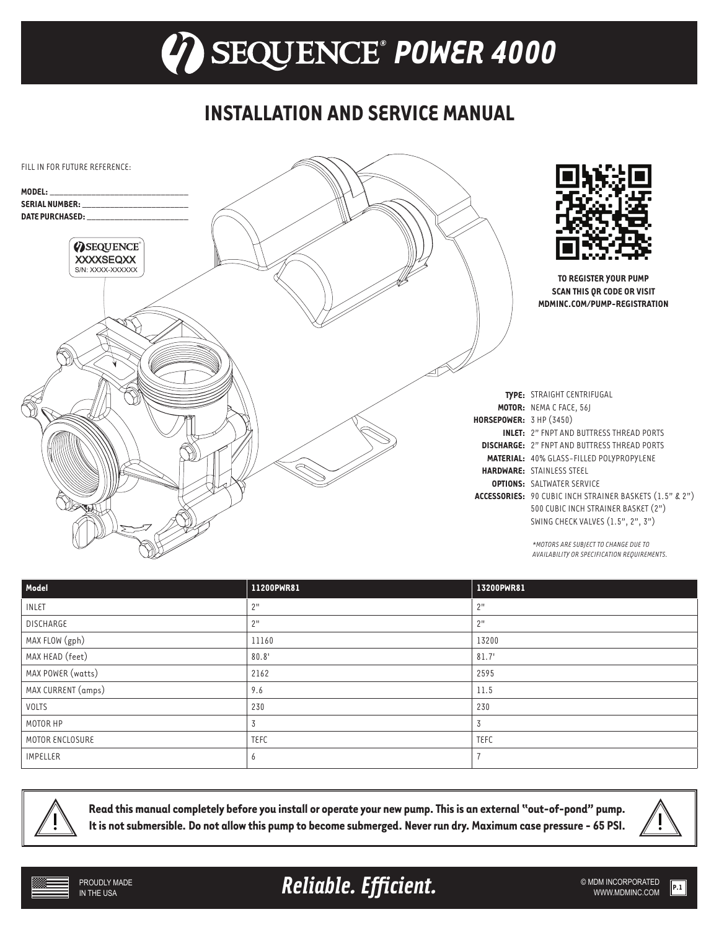## **INSTALLATION AND SERVICE MANUAL**



| Model              | 11200PWR81  | 13200PWR81  |
|--------------------|-------------|-------------|
| <b>INLET</b>       | 2"          | 2"          |
| DISCHARGE          | 2"          | 2"          |
| MAX FLOW (gph)     | 11160       | 13200       |
| MAX HEAD (feet)    | 80.8'       | 81.7'       |
| MAX POWER (watts)  | 2162        | 2595        |
| MAX CURRENT (amps) | 9.6         | 11.5        |
| <b>VOLTS</b>       | 230         | 230         |
| MOTOR HP           | 3           | 3           |
| MOTOR ENCLOSURE    | <b>TEFC</b> | <b>TEFC</b> |
| <b>IMPELLER</b>    | 6           |             |



**Read this manual completely before you install or operate your new pump. This is an external "out-of-pond" pump. It is not submersible. Do not allow this pump to become submerged. Never run dry. Maximum case pressure - 65 PSI.**



**Reliable. Efficient.** And the submincorporated **Reliable.** Efficient.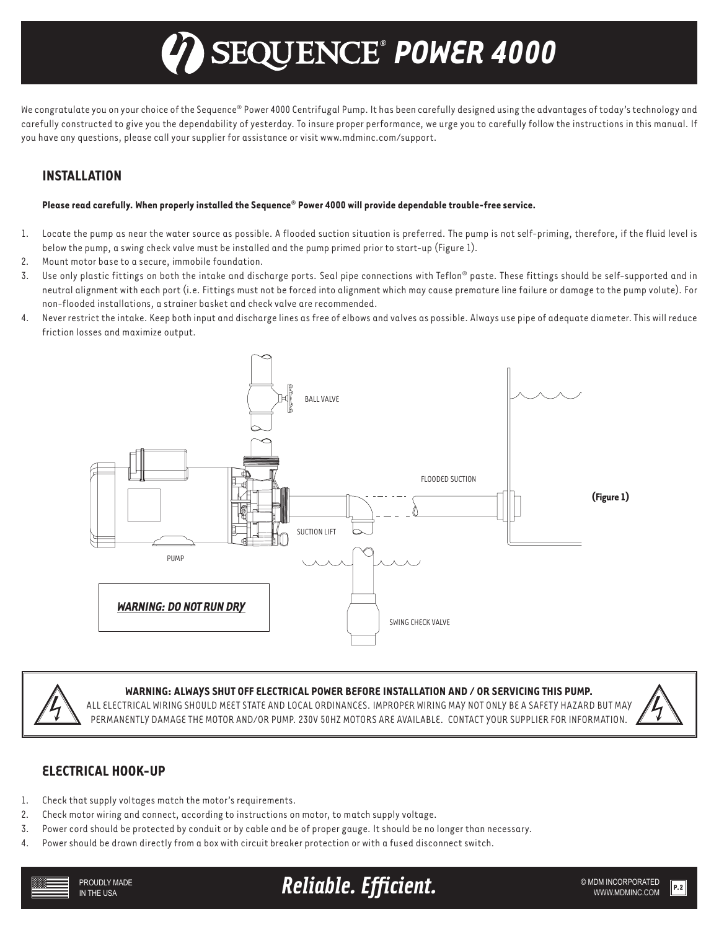# *® POWER 4000*

We congratulate you on your choice of the Sequence® Power 4000 Centrifugal Pump. It has been carefully designed using the advantages of today's technology and carefully constructed to give you the dependability of yesterday. To insure proper performance, we urge you to carefully follow the instructions in this manual. If you have any questions, please call your supplier for assistance or visit www.mdminc.com/support.

## **INSTALLATION**

#### **Please read carefully. When properly installed the Sequence® Power 4000 will provide dependable trouble-free service.**

- 1. Locate the pump as near the water source as possible. A flooded suction situation is preferred. The pump is not self-priming, therefore, if the fluid level is below the pump, a swing check valve must be installed and the pump primed prior to start-up (Figure 1).
- 2. Mount motor base to a secure, immobile foundation.
- 3. Use only plastic fittings on both the intake and discharge ports. Seal pipe connections with Teflon® paste. These fittings should be self-supported and in neutral alignment with each port (i.e. Fittings must not be forced into alignment which may cause premature line failure or damage to the pump volute). For non-flooded installations, a strainer basket and check valve are recommended.
- 4. Never restrict the intake. Keep both input and discharge lines as free of elbows and valves as possible. Always use pipe of adequate diameter. This will reduce friction losses and maximize output.





#### **WARNING: ALWAYS SHUT OFF ELECTRICAL POWER BEFORE INSTALLATION AND / OR SERVICING THIS PUMP.**

ALL ELECTRICAL WIRING SHOULD MEET STATE AND LOCAL ORDINANCES. IMPROPER WIRING MAY NOT ONLY BE A SAFETY HAZARD BUT MAY PERMANENTLY DAMAGE THE MOTOR AND/OR PUMP. 230V 50HZ MOTORS ARE AVAILABLE. CONTACT YOUR SUPPLIER FOR INFORMATION.



#### **ELECTRICAL HOOK-UP**

- 1. Check that supply voltages match the motor's requirements.
- 2. Check motor wiring and connect, according to instructions on motor, to match supply voltage.
- 3. Power cord should be protected by conduit or by cable and be of proper gauge. It should be no longer than necessary.
- 4. Power should be drawn directly from a box with circuit breaker protection or with a fused disconnect switch.



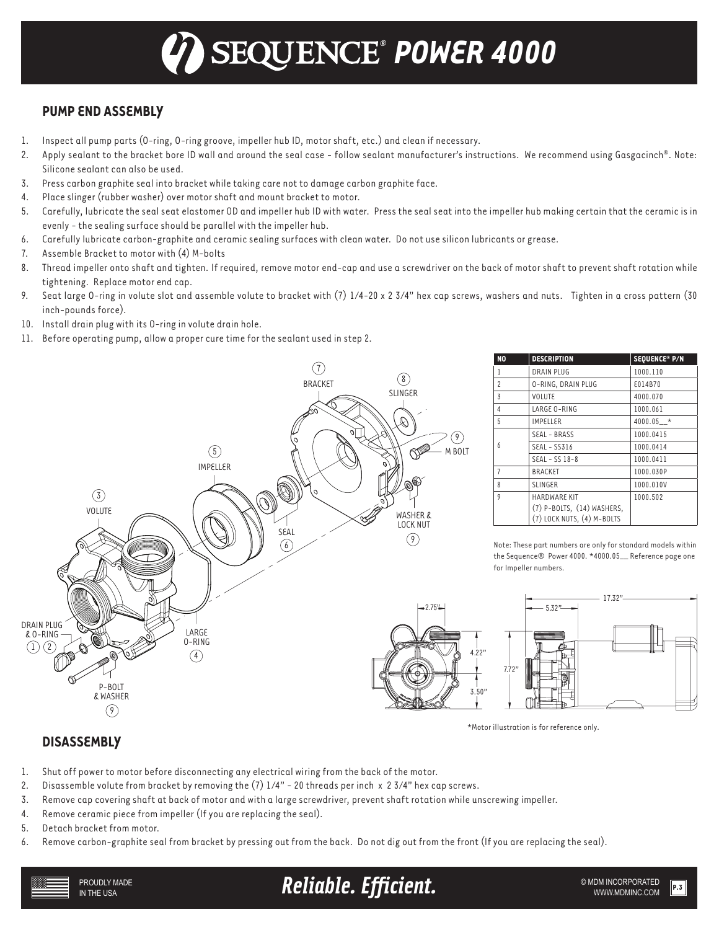## **PUMP END ASSEMBLY**

- 1. Inspect all pump parts (O-ring, O-ring groove, impeller hub ID, motor shaft, etc.) and clean if necessary.
- 2. Apply sealant to the bracket bore ID wall and around the seal case follow sealant manufacturer's instructions. We recommend using Gasgacinch®. Note: Silicone sealant can also be used.
- 3. Press carbon graphite seal into bracket while taking care not to damage carbon graphite face.
- 4. Place slinger (rubber washer) over motor shaft and mount bracket to motor.
- 5. Carefully, lubricate the seal seat elastomer OD and impeller hub ID with water. Press the seal seat into the impeller hub making certain that the ceramic is in evenly - the sealing surface should be parallel with the impeller hub.
- 6. Carefully lubricate carbon-graphite and ceramic sealing surfaces with clean water. Do not use silicon lubricants or grease.
- 7. Assemble Bracket to motor with (4) M-bolts
- 8. Thread impeller onto shaft and tighten. If required, remove motor end-cap and use a screwdriver on the back of motor shaft to prevent shaft rotation while tightening. Replace motor end cap.
- 9. Seat large O-ring in volute slot and assemble volute to bracket with (7) 1/4-20 x 2 3/4" hex cap screws, washers and nuts. Tighten in a cross pattern (30 inch-pounds force).
- 10. Install drain plug with its O-ring in volute drain hole.
- 11. Before operating pump, allow a proper cure time for the sealant used in step 2.



| N <sub>O</sub>          | <b>DESCRIPTION</b>         | SEQUENCE® P/N |
|-------------------------|----------------------------|---------------|
| 1                       | <b>DRAIN PLUG</b>          | 1000.110      |
| $\overline{c}$          | O-RING, DRAIN PLUG         | £014B70       |
| 3                       | <b>VOLUTE</b>              | 4000.070      |
| $\overline{4}$          | LARGE O-RING               | 1000.061      |
| 5                       | <b>IMPELLER</b>            | $4000.05$ *   |
| 6                       | SEAL - BRASS               | 1000.0415     |
|                         | $SEAL - SSS16$             | 1000.0414     |
|                         | $SEAL - SS$ $18-8$         | 1000.0411     |
| $\overline{7}$          | <b>BRACKET</b>             | 1000.030P     |
| $\mathsf{\overline{8}}$ | <b>SLINGER</b>             | 1000.010V     |
| 9                       | <b>HARDWARE KIT</b>        | 1000.502      |
|                         | (7) P-BOLTS, (14) WASHERS, |               |
|                         | (7) LOCK NUTS, (4) M-BOLTS |               |

Note: These part numbers are only for standard models within the Sequence® Power 4000. \*4000.05\_\_ Reference page one for Impeller numbers.



\*Motor illustration is for reference only.

#### **DISASSEMBLY**

- 1. Shut off power to motor before disconnecting any electrical wiring from the back of the motor.
- 2. Disassemble volute from bracket by removing the (7) 1/4" 20 threads per inch x 2 3/4" hex cap screws.
- 3. Remove cap covering shaft at back of motor and with a large screwdriver, prevent shaft rotation while unscrewing impeller.
- 4. Remove ceramic piece from impeller (If you are replacing the seal).
- 5. Detach bracket from motor.
- 6. Remove carbon-graphite seal from bracket by pressing out from the back. Do not dig out from the front (If you are replacing the seal).

PROUDLY MADE IN THE USA

**Reliable. Efficient.** WE ARELIABLE STRATED